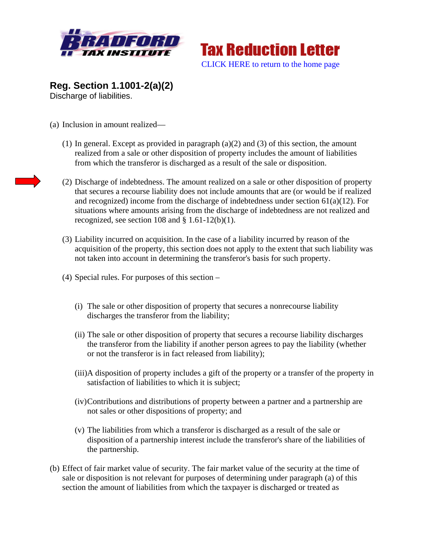



**Reg. Section 1.1001-2(a)(2)** Discharge of liabilities.

- (a) Inclusion in amount realized—
	- (1) In general. Except as provided in paragraph (a)(2) and (3) of this section, the amount realized from a sale or other disposition of property includes the amount of liabilities from which the transferor is discharged as a result of the sale or disposition.
	- (2) Discharge of indebtedness. The amount realized on a sale or other disposition of property that secures a recourse liability does not include amounts that are (or would be if realized and recognized) income from the discharge of indebtedness under section  $61(a)(12)$ . For situations where amounts arising from the discharge of indebtedness are not realized and recognized, see section 108 and  $\S$  1.61-12(b)(1).
	- (3) Liability incurred on acquisition. In the case of a liability incurred by reason of the acquisition of the property, this section does not apply to the extent that such liability was not taken into account in determining the transferor's basis for such property.
	- (4) Special rules. For purposes of this section
		- (i) The sale or other disposition of property that secures a nonrecourse liability discharges the transferor from the liability;
		- (ii) The sale or other disposition of property that secures a recourse liability discharges the transferor from the liability if another person agrees to pay the liability (whether or not the transferor is in fact released from liability);
		- (iii)A disposition of property includes a gift of the property or a transfer of the property in satisfaction of liabilities to which it is subject;
		- (iv)Contributions and distributions of property between a partner and a partnership are not sales or other dispositions of property; and
		- (v) The liabilities from which a transferor is discharged as a result of the sale or disposition of a partnership interest include the transferor's share of the liabilities of the partnership.
- (b) Effect of fair market value of security. The fair market value of the security at the time of sale or disposition is not relevant for purposes of determining under paragraph (a) of this section the amount of liabilities from which the taxpayer is discharged or treated as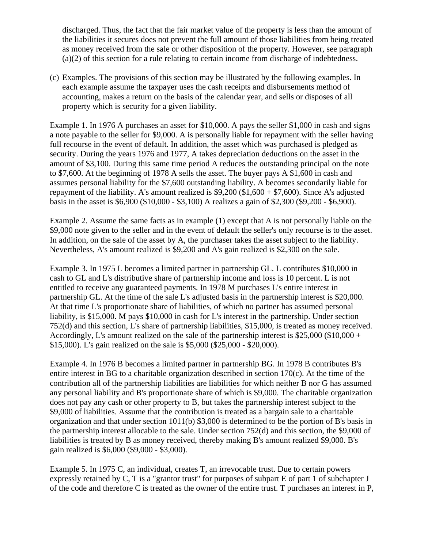discharged. Thus, the fact that the fair market value of the property is less than the amount of the liabilities it secures does not prevent the full amount of those liabilities from being treated as money received from the sale or other disposition of the property. However, see paragraph (a)(2) of this section for a rule relating to certain income from discharge of indebtedness.

(c) Examples. The provisions of this section may be illustrated by the following examples. In each example assume the taxpayer uses the cash receipts and disbursements method of accounting, makes a return on the basis of the calendar year, and sells or disposes of all property which is security for a given liability.

Example 1. In 1976 A purchases an asset for \$10,000. A pays the seller \$1,000 in cash and signs a note payable to the seller for \$9,000. A is personally liable for repayment with the seller having full recourse in the event of default. In addition, the asset which was purchased is pledged as security. During the years 1976 and 1977, A takes depreciation deductions on the asset in the amount of \$3,100. During this same time period A reduces the outstanding principal on the note to \$7,600. At the beginning of 1978 A sells the asset. The buyer pays A \$1,600 in cash and assumes personal liability for the \$7,600 outstanding liability. A becomes secondarily liable for repayment of the liability. A's amount realized is  $$9,200 ($1,600 + $7,600)$ . Since A's adjusted basis in the asset is \$6,900 (\$10,000 - \$3,100) A realizes a gain of \$2,300 (\$9,200 - \$6,900).

Example 2. Assume the same facts as in example (1) except that A is not personally liable on the \$9,000 note given to the seller and in the event of default the seller's only recourse is to the asset. In addition, on the sale of the asset by A, the purchaser takes the asset subject to the liability. Nevertheless, A's amount realized is \$9,200 and A's gain realized is \$2,300 on the sale.

Example 3. In 1975 L becomes a limited partner in partnership GL. L contributes \$10,000 in cash to GL and L's distributive share of partnership income and loss is 10 percent. L is not entitled to receive any guaranteed payments. In 1978 M purchases L's entire interest in partnership GL. At the time of the sale L's adjusted basis in the partnership interest is \$20,000. At that time L's proportionate share of liabilities, of which no partner has assumed personal liability, is \$15,000. M pays \$10,000 in cash for L's interest in the partnership. Under section 752(d) and this section, L's share of partnership liabilities, \$15,000, is treated as money received. Accordingly, L's amount realized on the sale of the partnership interest is \$25,000 (\$10,000 + \$15,000). L's gain realized on the sale is \$5,000 (\$25,000 - \$20,000).

Example 4. In 1976 B becomes a limited partner in partnership BG. In 1978 B contributes B's entire interest in BG to a charitable organization described in section 170(c). At the time of the contribution all of the partnership liabilities are liabilities for which neither B nor G has assumed any personal liability and B's proportionate share of which is \$9,000. The charitable organization does not pay any cash or other property to B, but takes the partnership interest subject to the \$9,000 of liabilities. Assume that the contribution is treated as a bargain sale to a charitable organization and that under section 1011(b) \$3,000 is determined to be the portion of B's basis in the partnership interest allocable to the sale. Under section 752(d) and this section, the \$9,000 of liabilities is treated by B as money received, thereby making B's amount realized \$9,000. B's gain realized is \$6,000 (\$9,000 - \$3,000).

Example 5. In 1975 C, an individual, creates T, an irrevocable trust. Due to certain powers expressly retained by C, T is a "grantor trust" for purposes of subpart E of part 1 of subchapter J of the code and therefore C is treated as the owner of the entire trust. T purchases an interest in P,